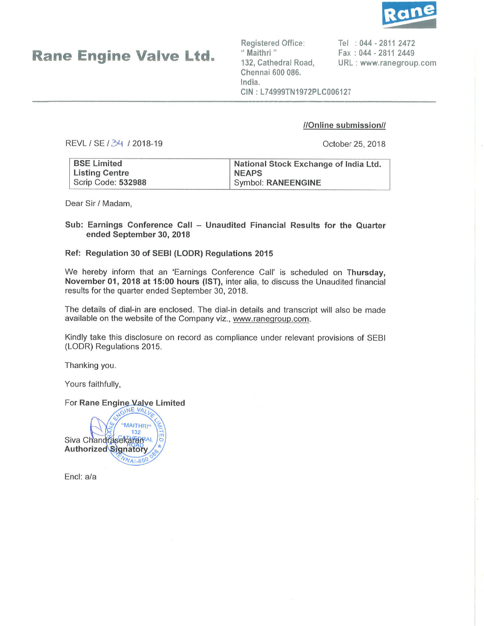

Rane Engine Valve Ltd.

Registered Office: " Maithri " 132, Cathedral Road, Chennai 600 086. lndia.

Tel '. 044 - 2811 2472 Fax : 044 - 2811 2449 URL : www.ranegroup.com

CIN: L74999TN1972PLC006127

### //Online submission//

REVL / SE / 34 / 2018-19

October 25,2018

| <b>BSE Limited</b> | National Stock Exchange of India Ltd. |
|--------------------|---------------------------------------|
| Listing Centre     | <b>NEAPS</b>                          |
| Scrip Code: 532988 | Symbol: RANEENGINE                    |

Dear Sir / Madam,

### Sub: Earnings Conference Call - Unaudited Financial Results for the Quarter ended September 30, 2018

### Ref: Regulation 30 of SEBI (LODR) Regulations <sup>2015</sup>

We hereby inform that an 'Earnings Conference Call' is scheduled on Thursday, November 01, 2018 at 15:00 hours (lST), inter alia, to discuss the Unaudited financial results for the quarter ended September 30, 2018.

The details of dial-in are enclosed. The dial-in details and transcript will also be made available on the website of the Company viz., www.raneqroup.com.

Kindly take this disclosure on record as compliance under relevant provisions of SEBI (LODR) Regulations 2015.

Thanking you.

Yours faithfully,

For Rane Engine Valve Limited

"MAITHRI" 132 Siva ChandrasekaranaL Authorized Signatory  $\sqrt{41.60}$ 

Encl: a/a